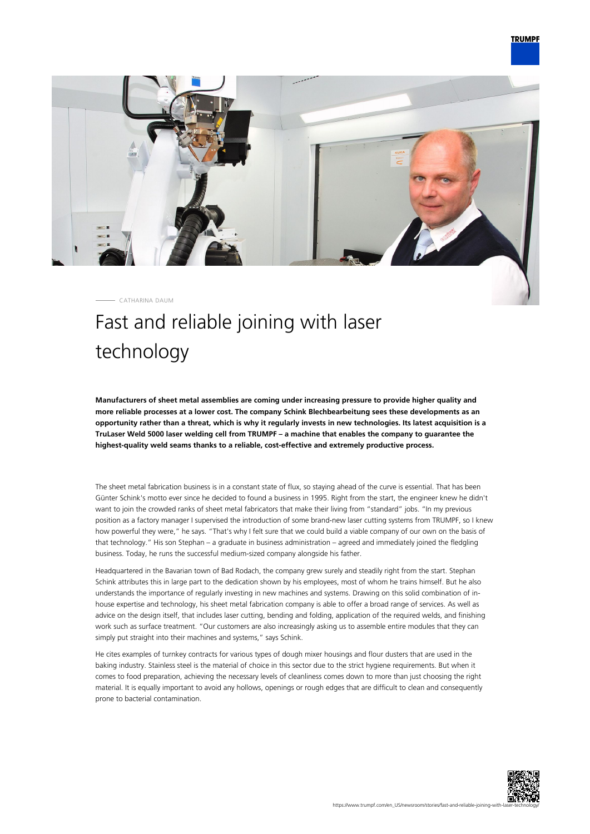

CATHARINA DAUM

## Fast and reliable joining with laser technology

**Manufacturers of sheet metal assemblies are coming under increasing pressure to provide higher quality and more reliable processes at a lower cost. The company Schink Blechbearbeitung sees these developments as an opportunity rather than a threat, which is why it regularly invests in new technologies. Its latest acquisition is a TruLaser Weld 5000 laser welding cell from TRUMPF – a machine that enables the company to guarantee the highest-quality weld seams thanks to a reliable, cost-effective and extremely productive process.**

The sheet metal fabrication business is in a constant state of flux, so staying ahead of the curve is essential. That has been Günter Schink's motto ever since he decided to found a business in 1995. Right from the start, the engineer knew he didn't want to join the crowded ranks of sheet metal fabricators that make their living from "standard" jobs. "In my previous position as a factory manager I supervised the introduction of some brand-new laser cutting systems from TRUMPF, so I knew how powerful they were," he says. "That's why I felt sure that we could build a viable company of our own on the basis of that technology." His son Stephan – a graduate in business administration – agreed and immediately joined the fledgling business. Today, he runs the successful medium-sized company alongside his father.

Headquartered in the Bavarian town of Bad Rodach, the company grew surely and steadily right from the start. Stephan Schink attributes this in large part to the dedication shown by his employees, most of whom he trains himself. But he also understands the importance of regularly investing in new machines and systems. Drawing on this solid combination of inhouse expertise and technology, his sheet metal fabrication company is able to offer a broad range of services. As well as advice on the design itself, that includes laser cutting, bending and folding, application of the required welds, and finishing work such as surface treatment. "Our customers are also increasingly asking us to assemble entire modules that they can simply put straight into their machines and systems," says Schink.

He cites examples of turnkey contracts for various types of dough mixer housings and flour dusters that are used in the baking industry. Stainless steel is the material of choice in this sector due to the strict hygiene requirements. But when it comes to food preparation, achieving the necessary levels of cleanliness comes down to more than just choosing the right material. It is equally important to avoid any hollows, openings or rough edges that are difficult to clean and consequently prone to bacterial contamination.

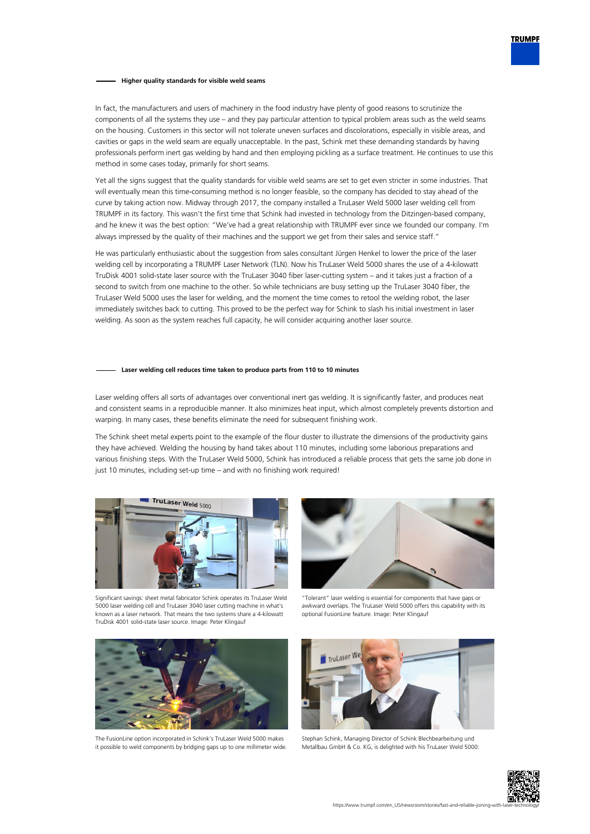## **Higher quality standards for visible weld seams**

In fact, the manufacturers and users of machinery in the food industry have plenty of good reasons to scrutinize the components of all the systems they use – and they pay particular attention to typical problem areas such as the weld seams on the housing. Customers in this sector will not tolerate uneven surfaces and discolorations, especially in visible areas, and cavities or gaps in the weld seam are equally unacceptable. In the past, Schink met these demanding standards by having professionals perform inert gas welding by hand and then employing pickling as a surface treatment. He continues to use this method in some cases today, primarily for short seams.

Yet all the signs suggest that the quality standards for visible weld seams are set to get even stricter in some industries. That will eventually mean this time-consuming method is no longer feasible, so the company has decided to stay ahead of the curve by taking action now. Midway through 2017, the company installed a TruLaser Weld 5000 laser welding cell from TRUMPF in its factory. This wasn't the first time that Schink had invested in technology from the Ditzingen-based company, and he knew it was the best option: "We've had a great relationship with TRUMPF ever since we founded our company. I'm always impressed by the quality of their machines and the support we get from their sales and service staff."

He was particularly enthusiastic about the suggestion from sales consultant Jürgen Henkel to lower the price of the laser welding cell by incorporating a TRUMPF Laser Network (TLN). Now his TruLaser Weld 5000 shares the use of a 4-kilowatt TruDisk 4001 solid-state laser source with the TruLaser 3040 fiber laser-cutting system – and it takes just a fraction of a second to switch from one machine to the other. So while technicians are busy setting up the TruLaser 3040 fiber, the TruLaser Weld 5000 uses the laser for welding, and the moment the time comes to retool the welding robot, the laser immediately switches back to cutting. This proved to be the perfect way for Schink to slash his initial investment in laser welding. As soon as the system reaches full capacity, he will consider acquiring another laser source.

## **Laser welding cell reduces time taken to produce parts from 110 to 10 minutes**

Laser welding offers all sorts of advantages over conventional inert gas welding. It is significantly faster, and produces neat and consistent seams in a reproducible manner. It also minimizes heat input, which almost completely prevents distortion and warping. In many cases, these benefits eliminate the need for subsequent finishing work.

The Schink sheet metal experts point to the example of the flour duster to illustrate the dimensions of the productivity gains they have achieved. Welding the housing by hand takes about 110 minutes, including some laborious preparations and various finishing steps. With the TruLaser Weld 5000, Schink has introduced a reliable process that gets the same job done in just 10 minutes, including set-up time – and with no finishing work required!



Significant savings: sheet metal fabricator Schink operates its TruLaser Weld 5000 laser welding cell and TruLaser 3040 laser cutting machine in what's known as a laser network. That means the two systems share a 4-kilowatt TruDisk 4001 solid-state laser source. Image: Peter Klingauf



"Tolerant" laser welding is essential for components that have gaps or awkward overlaps. The TruLaser Weld 5000 offers this capability with its optional FusionLine feature. Image: Peter Klingauf



The FusionLine option incorporated in Schink's TruLaser Weld 5000 makes it possible to weld components by bridging gaps up to one millimeter wide.



Stephan Schink, Managing Director of Schink Blechbearbeitung und Metallbau GmbH & Co. KG, is delighted with his TruLaser Weld 5000: